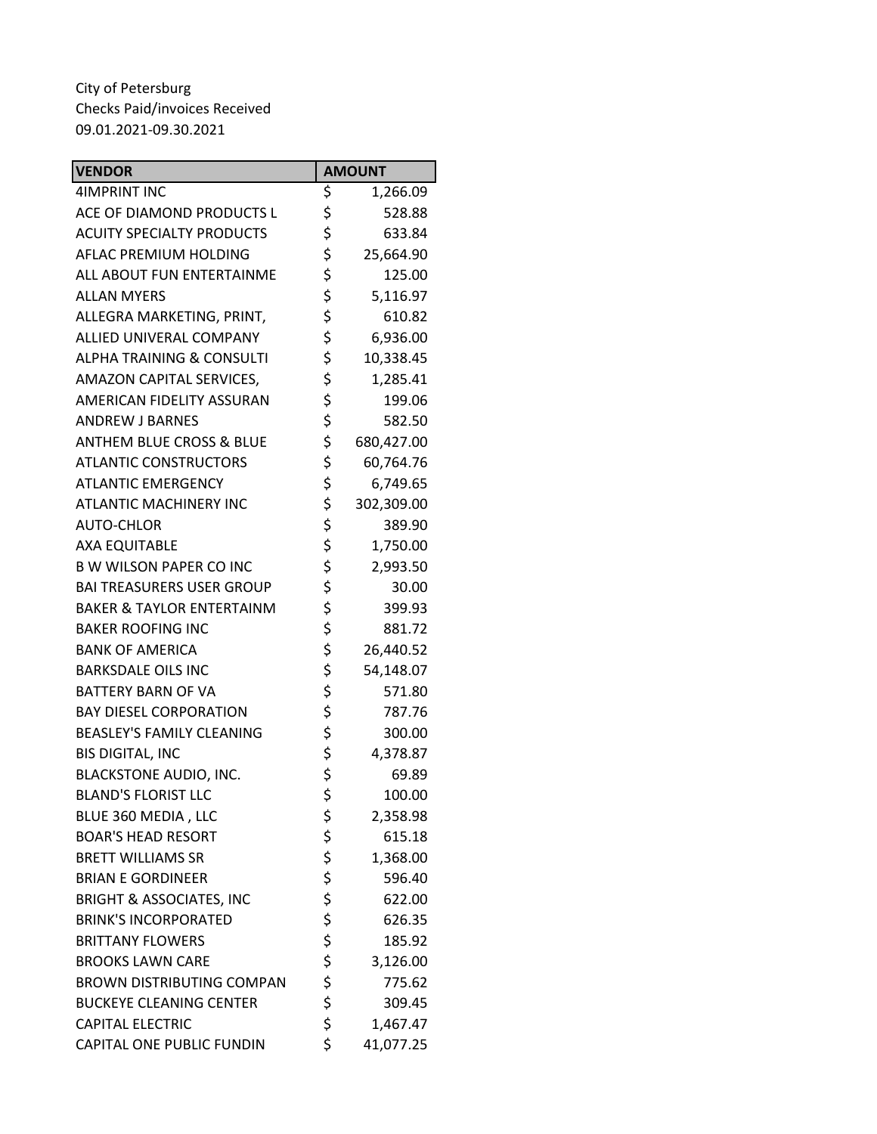| <b>VENDOR</b>                        | <b>AMOUNT</b>    |
|--------------------------------------|------------------|
| <b>4IMPRINT INC</b>                  | \$<br>1,266.09   |
| ACE OF DIAMOND PRODUCTS L            | \$<br>528.88     |
| <b>ACUITY SPECIALTY PRODUCTS</b>     | \$<br>633.84     |
| AFLAC PREMIUM HOLDING                | \$<br>25,664.90  |
| ALL ABOUT FUN ENTERTAINME            | \$<br>125.00     |
| <b>ALLAN MYERS</b>                   | \$<br>5,116.97   |
| ALLEGRA MARKETING, PRINT,            | \$<br>610.82     |
| ALLIED UNIVERAL COMPANY              | \$<br>6,936.00   |
| <b>ALPHA TRAINING &amp; CONSULTI</b> | \$<br>10,338.45  |
| AMAZON CAPITAL SERVICES,             | \$<br>1,285.41   |
| AMERICAN FIDELITY ASSURAN            | \$<br>199.06     |
| <b>ANDREW J BARNES</b>               | \$<br>582.50     |
| <b>ANTHEM BLUE CROSS &amp; BLUE</b>  | \$<br>680,427.00 |
| <b>ATLANTIC CONSTRUCTORS</b>         | \$<br>60,764.76  |
| <b>ATLANTIC EMERGENCY</b>            | \$<br>6,749.65   |
| <b>ATLANTIC MACHINERY INC</b>        | \$<br>302,309.00 |
| <b>AUTO-CHLOR</b>                    | \$<br>389.90     |
| <b>AXA EQUITABLE</b>                 | \$<br>1,750.00   |
| <b>B W WILSON PAPER CO INC</b>       | \$<br>2,993.50   |
| <b>BAI TREASURERS USER GROUP</b>     | \$<br>30.00      |
| <b>BAKER &amp; TAYLOR ENTERTAINM</b> | \$<br>399.93     |
| <b>BAKER ROOFING INC</b>             | \$<br>881.72     |
| <b>BANK OF AMERICA</b>               | \$<br>26,440.52  |
| <b>BARKSDALE OILS INC</b>            | \$<br>54,148.07  |
| <b>BATTERY BARN OF VA</b>            | \$<br>571.80     |
| <b>BAY DIESEL CORPORATION</b>        | \$<br>787.76     |
| <b>BEASLEY'S FAMILY CLEANING</b>     | \$<br>300.00     |
| <b>BIS DIGITAL, INC</b>              | \$<br>4,378.87   |
| <b>BLACKSTONE AUDIO, INC.</b>        | \$<br>69.89      |
| <b>BLAND'S FLORIST LLC</b>           | \$<br>100.00     |
| BLUE 360 MEDIA, LLC                  | \$<br>2,358.98   |
| <b>BOAR'S HEAD RESORT</b>            | \$<br>615.18     |
| <b>BRETT WILLIAMS SR</b>             | \$<br>1,368.00   |
| <b>BRIAN E GORDINEER</b>             | \$<br>596.40     |
| <b>BRIGHT &amp; ASSOCIATES, INC</b>  | \$<br>622.00     |
| <b>BRINK'S INCORPORATED</b>          | \$<br>626.35     |
| <b>BRITTANY FLOWERS</b>              | \$<br>185.92     |
| <b>BROOKS LAWN CARE</b>              | \$<br>3,126.00   |
| <b>BROWN DISTRIBUTING COMPAN</b>     | \$<br>775.62     |
| <b>BUCKEYE CLEANING CENTER</b>       | \$<br>309.45     |
| <b>CAPITAL ELECTRIC</b>              | \$<br>1,467.47   |
| CAPITAL ONE PUBLIC FUNDIN            | \$<br>41,077.25  |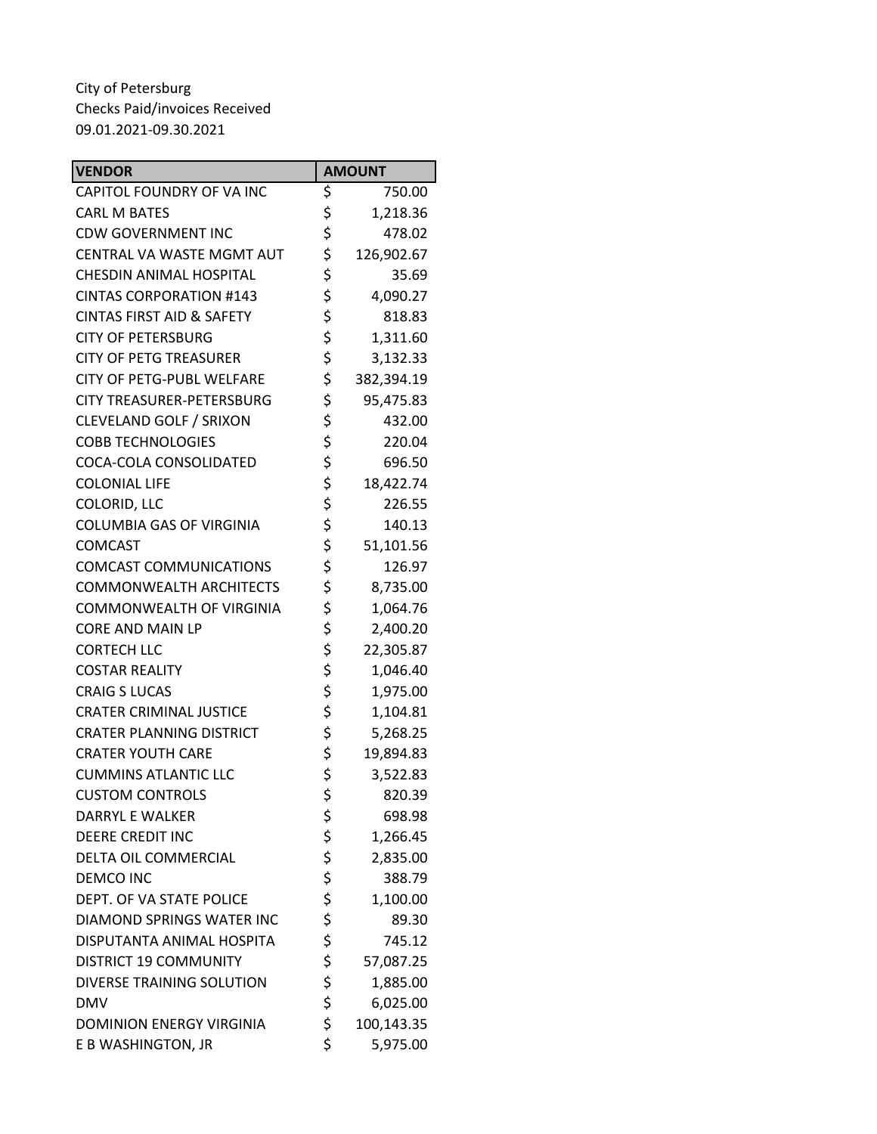| <b>VENDOR</b>                        | <b>AMOUNT</b>    |
|--------------------------------------|------------------|
| CAPITOL FOUNDRY OF VA INC            | \$<br>750.00     |
| <b>CARL M BATES</b>                  | \$<br>1,218.36   |
| <b>CDW GOVERNMENT INC</b>            | \$<br>478.02     |
| CENTRAL VA WASTE MGMT AUT            | \$<br>126,902.67 |
| <b>CHESDIN ANIMAL HOSPITAL</b>       | \$<br>35.69      |
| <b>CINTAS CORPORATION #143</b>       | \$<br>4,090.27   |
| <b>CINTAS FIRST AID &amp; SAFETY</b> | \$<br>818.83     |
| <b>CITY OF PETERSBURG</b>            | \$<br>1,311.60   |
| <b>CITY OF PETG TREASURER</b>        | \$<br>3,132.33   |
| CITY OF PETG-PUBL WELFARE            | \$<br>382,394.19 |
| <b>CITY TREASURER-PETERSBURG</b>     | \$<br>95,475.83  |
| CLEVELAND GOLF / SRIXON              | \$<br>432.00     |
| <b>COBB TECHNOLOGIES</b>             | \$<br>220.04     |
| COCA-COLA CONSOLIDATED               | \$<br>696.50     |
| <b>COLONIAL LIFE</b>                 | \$<br>18,422.74  |
| COLORID, LLC                         | \$<br>226.55     |
| <b>COLUMBIA GAS OF VIRGINIA</b>      | \$<br>140.13     |
| <b>COMCAST</b>                       | \$<br>51,101.56  |
| <b>COMCAST COMMUNICATIONS</b>        | \$<br>126.97     |
| <b>COMMONWEALTH ARCHITECTS</b>       | \$<br>8,735.00   |
| COMMONWEALTH OF VIRGINIA             | \$<br>1,064.76   |
| <b>CORE AND MAIN LP</b>              | \$<br>2,400.20   |
| <b>CORTECH LLC</b>                   | \$<br>22,305.87  |
| <b>COSTAR REALITY</b>                | \$<br>1,046.40   |
| <b>CRAIG S LUCAS</b>                 | \$<br>1,975.00   |
| <b>CRATER CRIMINAL JUSTICE</b>       | \$<br>1,104.81   |
| <b>CRATER PLANNING DISTRICT</b>      | \$<br>5,268.25   |
| <b>CRATER YOUTH CARE</b>             | \$<br>19,894.83  |
| <b>CUMMINS ATLANTIC LLC</b>          | \$<br>3,522.83   |
| <b>CUSTOM CONTROLS</b>               | \$<br>820.39     |
| DARRYL E WALKER                      | \$<br>698.98     |
| <b>DEERE CREDIT INC</b>              | \$<br>1,266.45   |
| DELTA OIL COMMERCIAL                 | \$<br>2,835.00   |
| <b>DEMCO INC</b>                     | \$<br>388.79     |
| DEPT. OF VA STATE POLICE             | \$<br>1,100.00   |
| DIAMOND SPRINGS WATER INC            | \$<br>89.30      |
| DISPUTANTA ANIMAL HOSPITA            | \$<br>745.12     |
| <b>DISTRICT 19 COMMUNITY</b>         | \$<br>57,087.25  |
| DIVERSE TRAINING SOLUTION            | \$<br>1,885.00   |
| <b>DMV</b>                           | \$<br>6,025.00   |
| DOMINION ENERGY VIRGINIA             | \$<br>100,143.35 |
| E B WASHINGTON, JR                   | \$<br>5,975.00   |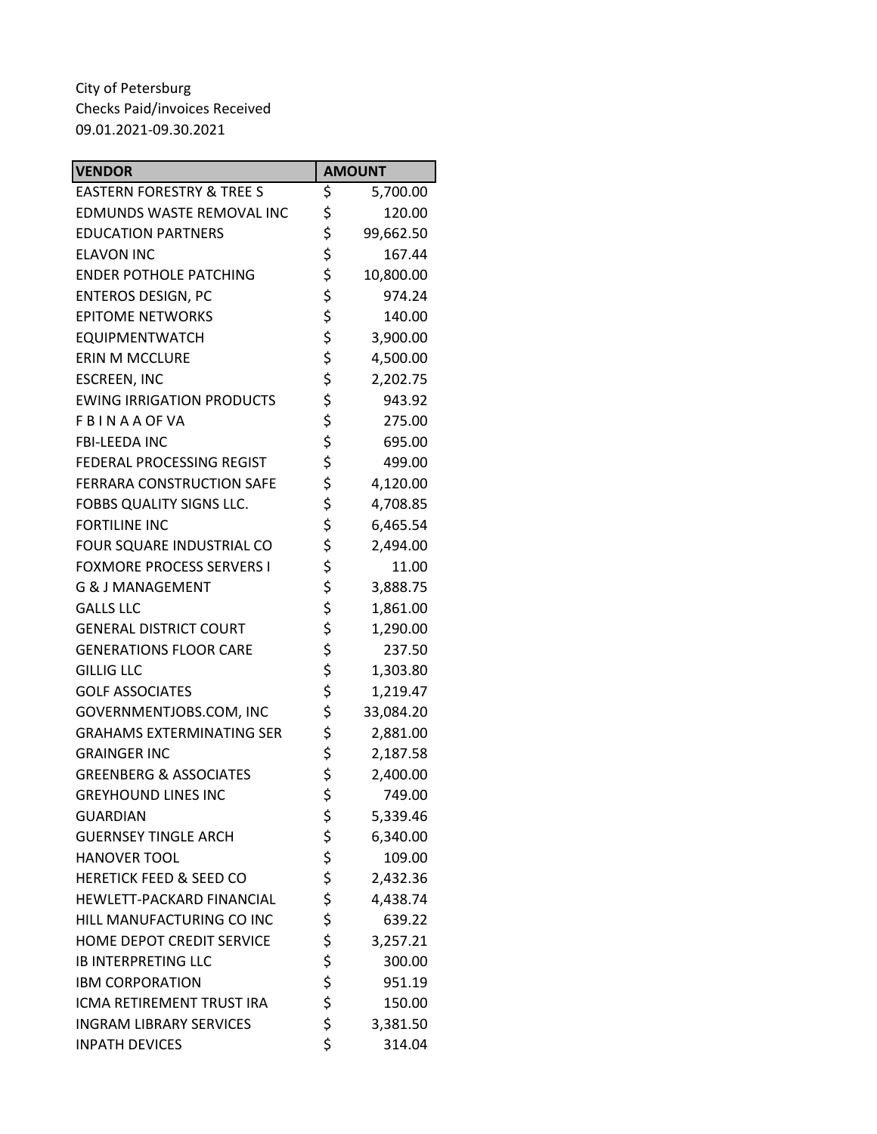| <b>VENDOR</b>                        | <b>AMOUNT</b>   |
|--------------------------------------|-----------------|
| <b>EASTERN FORESTRY &amp; TREE S</b> | \$<br>5,700.00  |
| EDMUNDS WASTE REMOVAL INC            | \$<br>120.00    |
| <b>EDUCATION PARTNERS</b>            | \$<br>99,662.50 |
| <b>ELAVON INC</b>                    | \$<br>167.44    |
| <b>ENDER POTHOLE PATCHING</b>        | \$<br>10,800.00 |
| <b>ENTEROS DESIGN, PC</b>            | \$<br>974.24    |
| <b>EPITOME NETWORKS</b>              | \$<br>140.00    |
| <b>EQUIPMENTWATCH</b>                | \$<br>3,900.00  |
| <b>ERIN M MCCLURE</b>                | \$<br>4,500.00  |
| <b>ESCREEN, INC</b>                  | \$<br>2,202.75  |
| <b>EWING IRRIGATION PRODUCTS</b>     | \$<br>943.92    |
| <b>FBINAAOFVA</b>                    | \$<br>275.00    |
| <b>FBI-LEEDA INC</b>                 | \$<br>695.00    |
| FEDERAL PROCESSING REGIST            | \$<br>499.00    |
| FERRARA CONSTRUCTION SAFE            | \$<br>4,120.00  |
| FOBBS QUALITY SIGNS LLC.             | \$<br>4,708.85  |
| <b>FORTILINE INC</b>                 | \$<br>6,465.54  |
| FOUR SQUARE INDUSTRIAL CO            | \$<br>2,494.00  |
| <b>FOXMORE PROCESS SERVERS I</b>     | \$<br>11.00     |
| <b>G &amp; J MANAGEMENT</b>          | \$<br>3,888.75  |
| <b>GALLS LLC</b>                     | \$<br>1,861.00  |
| <b>GENERAL DISTRICT COURT</b>        | \$<br>1,290.00  |
| <b>GENERATIONS FLOOR CARE</b>        | \$<br>237.50    |
| <b>GILLIG LLC</b>                    | \$<br>1,303.80  |
| <b>GOLF ASSOCIATES</b>               | \$<br>1,219.47  |
| GOVERNMENTJOBS.COM, INC              | \$<br>33,084.20 |
| <b>GRAHAMS EXTERMINATING SER</b>     | \$<br>2,881.00  |
| <b>GRAINGER INC</b>                  | \$<br>2,187.58  |
| <b>GREENBERG &amp; ASSOCIATES</b>    | \$<br>2,400.00  |
| <b>GREYHOUND LINES INC</b>           | \$<br>749.00    |
| <b>GUARDIAN</b>                      | \$<br>5,339.46  |
| <b>GUERNSEY TINGLE ARCH</b>          | \$<br>6,340.00  |
| <b>HANOVER TOOL</b>                  | \$<br>109.00    |
| <b>HERETICK FEED &amp; SEED CO</b>   | \$<br>2,432.36  |
| HEWLETT-PACKARD FINANCIAL            | \$<br>4,438.74  |
| HILL MANUFACTURING CO INC            | \$<br>639.22    |
| HOME DEPOT CREDIT SERVICE            | \$<br>3,257.21  |
| <b>IB INTERPRETING LLC</b>           | \$<br>300.00    |
| <b>IBM CORPORATION</b>               | \$<br>951.19    |
| ICMA RETIREMENT TRUST IRA            | \$<br>150.00    |
| <b>INGRAM LIBRARY SERVICES</b>       | \$<br>3,381.50  |
| <b>INPATH DEVICES</b>                | \$<br>314.04    |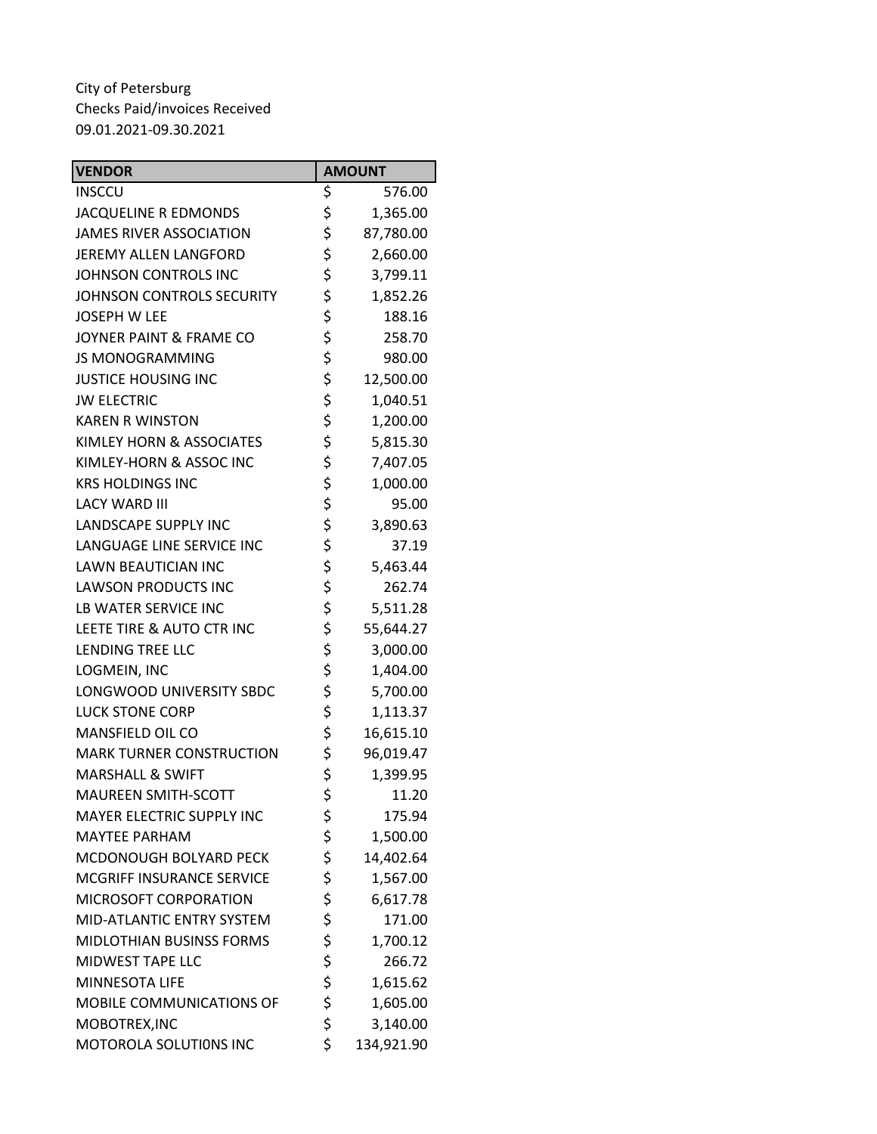| <b>VENDOR</b>                    | <b>AMOUNT</b>    |
|----------------------------------|------------------|
| <b>INSCCU</b>                    | \$<br>576.00     |
| <b>JACQUELINE R EDMONDS</b>      | \$<br>1,365.00   |
| <b>JAMES RIVER ASSOCIATION</b>   | \$<br>87,780.00  |
| JEREMY ALLEN LANGFORD            | \$<br>2,660.00   |
| JOHNSON CONTROLS INC             | \$<br>3,799.11   |
| JOHNSON CONTROLS SECURITY        | \$<br>1,852.26   |
| <b>JOSEPH W LEE</b>              | \$<br>188.16     |
| JOYNER PAINT & FRAME CO          | \$<br>258.70     |
| <b>JS MONOGRAMMING</b>           | \$<br>980.00     |
| <b>JUSTICE HOUSING INC</b>       | \$<br>12,500.00  |
| <b>JW ELECTRIC</b>               | \$<br>1,040.51   |
| <b>KAREN R WINSTON</b>           | \$<br>1,200.00   |
| KIMLEY HORN & ASSOCIATES         | \$<br>5,815.30   |
| KIMLEY-HORN & ASSOC INC          | \$<br>7,407.05   |
| <b>KRS HOLDINGS INC</b>          | \$<br>1,000.00   |
| <b>LACY WARD III</b>             | \$<br>95.00      |
| <b>LANDSCAPE SUPPLY INC</b>      | \$<br>3,890.63   |
| LANGUAGE LINE SERVICE INC        | \$<br>37.19      |
| <b>LAWN BEAUTICIAN INC</b>       | \$<br>5,463.44   |
| <b>LAWSON PRODUCTS INC</b>       | \$<br>262.74     |
| LB WATER SERVICE INC             | \$<br>5,511.28   |
| LEETE TIRE & AUTO CTR INC        | \$<br>55,644.27  |
| LENDING TREE LLC                 | \$<br>3,000.00   |
| LOGMEIN, INC                     | \$<br>1,404.00   |
| LONGWOOD UNIVERSITY SBDC         | \$<br>5,700.00   |
| <b>LUCK STONE CORP</b>           | \$<br>1,113.37   |
| MANSFIELD OIL CO                 | \$<br>16,615.10  |
| <b>MARK TURNER CONSTRUCTION</b>  | \$<br>96,019.47  |
| <b>MARSHALL &amp; SWIFT</b>      | \$<br>1,399.95   |
| MAUREEN SMITH-SCOTT              | \$<br>11.20      |
| <b>MAYER ELECTRIC SUPPLY INC</b> | \$<br>175.94     |
| <b>MAYTEE PARHAM</b>             | \$<br>1,500.00   |
| MCDONOUGH BOLYARD PECK           | \$<br>14,402.64  |
| MCGRIFF INSURANCE SERVICE        | \$<br>1,567.00   |
| MICROSOFT CORPORATION            | \$<br>6,617.78   |
| MID-ATLANTIC ENTRY SYSTEM        | \$<br>171.00     |
| MIDLOTHIAN BUSINSS FORMS         | \$<br>1,700.12   |
| <b>MIDWEST TAPE LLC</b>          | \$<br>266.72     |
| <b>MINNESOTA LIFE</b>            | \$<br>1,615.62   |
| MOBILE COMMUNICATIONS OF         | \$<br>1,605.00   |
| MOBOTREX, INC                    | \$<br>3,140.00   |
| MOTOROLA SOLUTIONS INC           | \$<br>134,921.90 |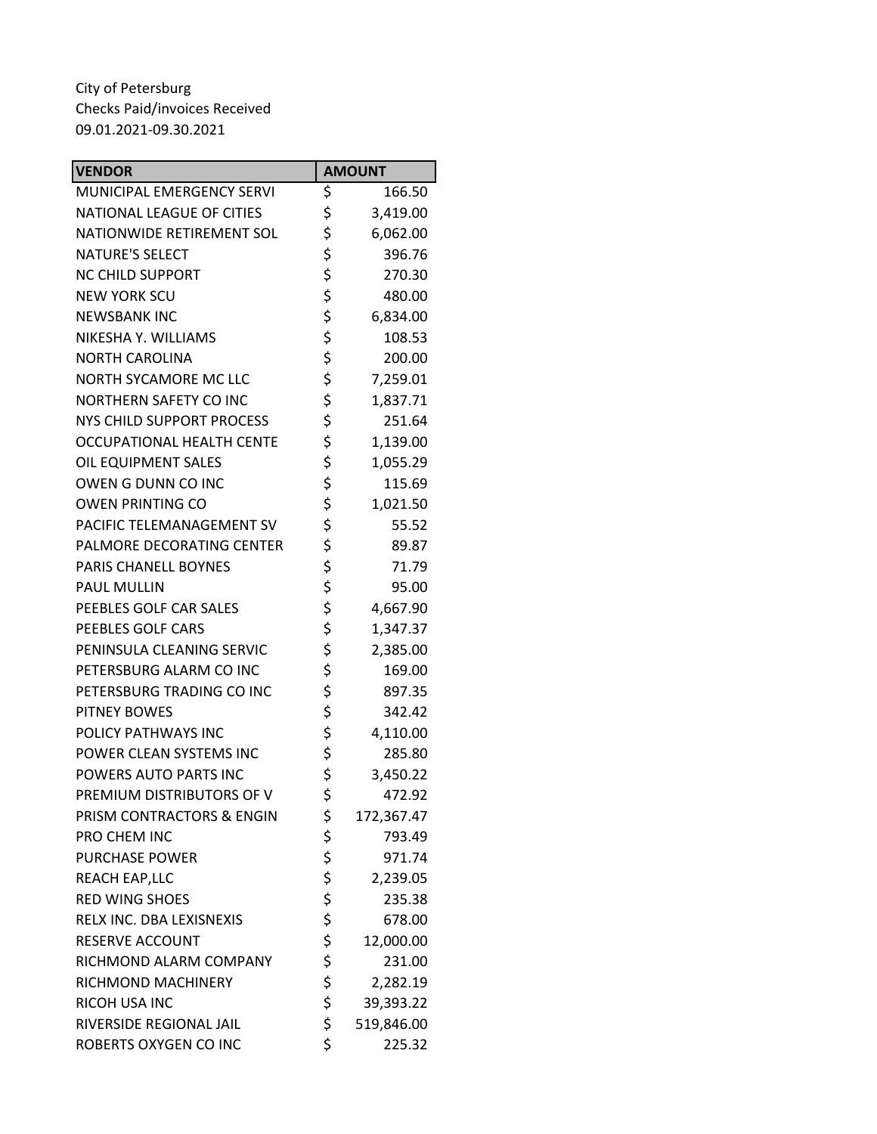| <b>VENDOR</b>                    | <b>AMOUNT</b>    |
|----------------------------------|------------------|
| MUNICIPAL EMERGENCY SERVI        | \$<br>166.50     |
| <b>NATIONAL LEAGUE OF CITIES</b> | \$<br>3,419.00   |
| NATIONWIDE RETIREMENT SOL        | \$<br>6,062.00   |
| <b>NATURE'S SELECT</b>           | \$<br>396.76     |
| <b>NC CHILD SUPPORT</b>          | \$<br>270.30     |
| <b>NEW YORK SCU</b>              | \$<br>480.00     |
| <b>NEWSBANK INC</b>              | \$<br>6,834.00   |
| NIKESHA Y. WILLIAMS              | \$<br>108.53     |
| <b>NORTH CAROLINA</b>            | \$<br>200.00     |
| NORTH SYCAMORE MC LLC            | \$<br>7,259.01   |
| <b>NORTHERN SAFETY CO INC</b>    | \$<br>1,837.71   |
| NYS CHILD SUPPORT PROCESS        | \$<br>251.64     |
| <b>OCCUPATIONAL HEALTH CENTE</b> | \$<br>1,139.00   |
| OIL EQUIPMENT SALES              | \$<br>1,055.29   |
| OWEN G DUNN CO INC               | \$<br>115.69     |
| <b>OWEN PRINTING CO</b>          | \$<br>1,021.50   |
| PACIFIC TELEMANAGEMENT SV        | \$<br>55.52      |
| PALMORE DECORATING CENTER        | \$<br>89.87      |
| PARIS CHANELL BOYNES             | \$<br>71.79      |
| <b>PAUL MULLIN</b>               | \$<br>95.00      |
| PEEBLES GOLF CAR SALES           | \$<br>4,667.90   |
| PEEBLES GOLF CARS                | \$<br>1,347.37   |
| PENINSULA CLEANING SERVIC        | \$<br>2,385.00   |
| PETERSBURG ALARM CO INC          | \$<br>169.00     |
| PETERSBURG TRADING CO INC        | \$<br>897.35     |
| <b>PITNEY BOWES</b>              | \$<br>342.42     |
| POLICY PATHWAYS INC              | \$<br>4,110.00   |
| POWER CLEAN SYSTEMS INC          | \$<br>285.80     |
| POWERS AUTO PARTS INC            | \$<br>3,450.22   |
| PREMIUM DISTRIBUTORS OF V        | \$<br>472.92     |
| PRISM CONTRACTORS & ENGIN        | \$<br>172,367.47 |
| PRO CHEM INC                     | \$<br>793.49     |
| <b>PURCHASE POWER</b>            | \$<br>971.74     |
| <b>REACH EAP,LLC</b>             | \$<br>2,239.05   |
| <b>RED WING SHOES</b>            | \$<br>235.38     |
| RELX INC. DBA LEXISNEXIS         | \$<br>678.00     |
| <b>RESERVE ACCOUNT</b>           | \$<br>12,000.00  |
| RICHMOND ALARM COMPANY           | \$<br>231.00     |
| RICHMOND MACHINERY               | \$<br>2,282.19   |
| RICOH USA INC                    | \$<br>39,393.22  |
| RIVERSIDE REGIONAL JAIL          | \$<br>519,846.00 |
| ROBERTS OXYGEN CO INC            | \$<br>225.32     |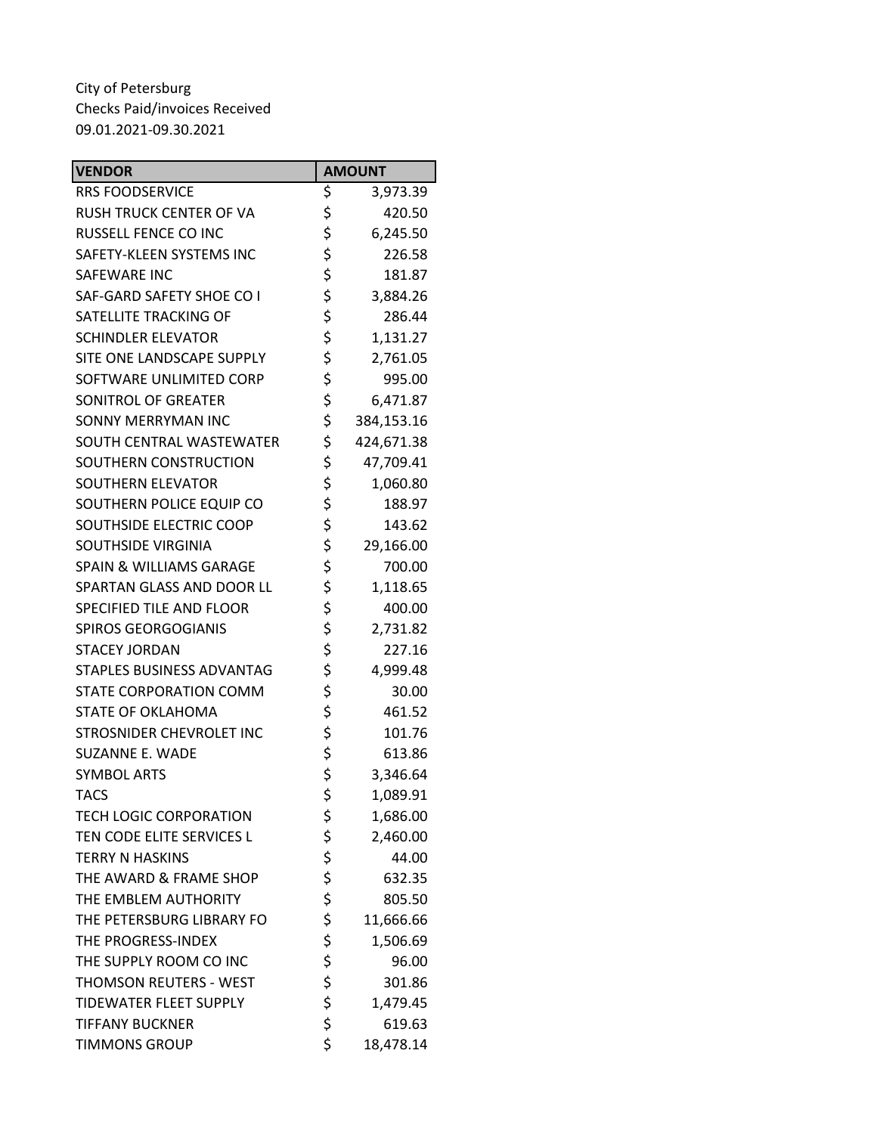| <b>VENDOR</b>                      | <b>AMOUNT</b>    |
|------------------------------------|------------------|
| <b>RRS FOODSERVICE</b>             | \$<br>3,973.39   |
| <b>RUSH TRUCK CENTER OF VA</b>     | \$<br>420.50     |
| RUSSELL FENCE CO INC               | \$<br>6,245.50   |
| SAFETY-KLEEN SYSTEMS INC           | \$<br>226.58     |
| SAFEWARE INC                       | \$<br>181.87     |
| SAF-GARD SAFETY SHOE CO I          | \$<br>3,884.26   |
| SATELLITE TRACKING OF              | \$<br>286.44     |
| <b>SCHINDLER ELEVATOR</b>          | \$<br>1,131.27   |
| SITE ONE LANDSCAPE SUPPLY          | \$<br>2,761.05   |
| SOFTWARE UNLIMITED CORP            | \$<br>995.00     |
| SONITROL OF GREATER                | \$<br>6,471.87   |
| SONNY MERRYMAN INC                 | \$<br>384,153.16 |
| SOUTH CENTRAL WASTEWATER           | \$<br>424,671.38 |
| SOUTHERN CONSTRUCTION              | \$<br>47,709.41  |
| <b>SOUTHERN ELEVATOR</b>           | \$<br>1,060.80   |
| SOUTHERN POLICE EQUIP CO           | \$<br>188.97     |
| SOUTHSIDE ELECTRIC COOP            | \$<br>143.62     |
| SOUTHSIDE VIRGINIA                 | \$<br>29,166.00  |
| <b>SPAIN &amp; WILLIAMS GARAGE</b> | \$<br>700.00     |
| SPARTAN GLASS AND DOOR LL          | \$<br>1,118.65   |
| SPECIFIED TILE AND FLOOR           | \$<br>400.00     |
| <b>SPIROS GEORGOGIANIS</b>         | \$<br>2,731.82   |
| <b>STACEY JORDAN</b>               | \$<br>227.16     |
| STAPLES BUSINESS ADVANTAG          | \$<br>4,999.48   |
| STATE CORPORATION COMM             | \$<br>30.00      |
| STATE OF OKLAHOMA                  | \$<br>461.52     |
| STROSNIDER CHEVROLET INC           | \$<br>101.76     |
| SUZANNE E. WADE                    | \$<br>613.86     |
| <b>SYMBOL ARTS</b>                 | \$<br>3,346.64   |
| <b>TACS</b>                        | \$<br>1,089.91   |
| <b>TECH LOGIC CORPORATION</b>      | \$<br>1,686.00   |
| TEN CODE ELITE SERVICES L          | \$<br>2,460.00   |
| <b>TERRY N HASKINS</b>             | \$<br>44.00      |
| THE AWARD & FRAME SHOP             | \$<br>632.35     |
| THE EMBLEM AUTHORITY               | \$<br>805.50     |
| THE PETERSBURG LIBRARY FO          | \$<br>11,666.66  |
| THE PROGRESS-INDEX                 | \$<br>1,506.69   |
| THE SUPPLY ROOM CO INC             | \$<br>96.00      |
| THOMSON REUTERS - WEST             | \$<br>301.86     |
| <b>TIDEWATER FLEET SUPPLY</b>      | \$<br>1,479.45   |
| <b>TIFFANY BUCKNER</b>             | \$<br>619.63     |
| <b>TIMMONS GROUP</b>               | \$<br>18,478.14  |